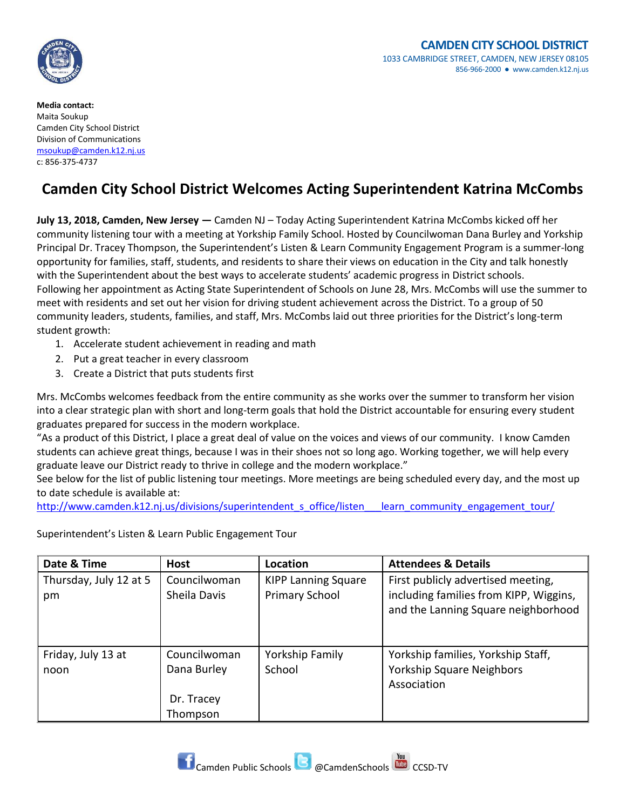

**Media contact:** Maita Soukup Camden City School District Division of Communications [msoukup@camden.k12.nj.us](mailto:msoukup@camden.k12.nj.us) c: 856-375-4737

## **Camden City School District Welcomes Acting Superintendent Katrina McCombs**

**July 13, 2018, Camden, New Jersey —** Camden NJ – Today Acting Superintendent Katrina McCombs kicked off her community listening tour with a meeting at Yorkship Family School. Hosted by Councilwoman Dana Burley and Yorkship Principal Dr. Tracey Thompson, the Superintendent's Listen & Learn Community Engagement Program is a summer-long opportunity for families, staff, students, and residents to share their views on education in the City and talk honestly with the Superintendent about the best ways to accelerate students' academic progress in District schools. Following her appointment as Acting State Superintendent of Schools on June 28, Mrs. McCombs will use the summer to meet with residents and set out her vision for driving student achievement across the District. To a group of 50 community leaders, students, families, and staff, Mrs. McCombs laid out three priorities for the District's long-term student growth:

- 1. Accelerate student achievement in reading and math
- 2. Put a great teacher in every classroom
- 3. Create a District that puts students first

Mrs. McCombs welcomes feedback from the entire community as she works over the summer to transform her vision into a clear strategic plan with short and long-term goals that hold the District accountable for ensuring every student graduates prepared for success in the modern workplace.

"As a product of this District, I place a great deal of value on the voices and views of our community. I know Camden students can achieve great things, because I was in their shoes not so long ago. Working together, we will help every graduate leave our District ready to thrive in college and the modern workplace."

See below for the list of public listening tour meetings. More meetings are being scheduled every day, and the most up to date schedule is available at:

[http://www.camden.k12.nj.us/divisions/superintendent\\_s\\_office/listen\\_\\_\\_learn\\_community\\_engagement\\_tour/](http://www.camden.k12.nj.us/divisions/superintendent_s_office/listen___learn_community_engagement_tour/)

Superintendent's Listen & Learn Public Engagement Tour

| Date & Time                  | <b>Host</b>                  | Location                                            | <b>Attendees &amp; Details</b>                                               |
|------------------------------|------------------------------|-----------------------------------------------------|------------------------------------------------------------------------------|
| Thursday, July 12 at 5<br>pm | Councilwoman<br>Sheila Davis | <b>KIPP Lanning Square</b><br><b>Primary School</b> | First publicly advertised meeting,<br>including families from KIPP, Wiggins, |
|                              |                              |                                                     | and the Lanning Square neighborhood                                          |
| Friday, July 13 at           | Councilwoman                 | Yorkship Family                                     | Yorkship families, Yorkship Staff,                                           |
| noon                         | Dana Burley                  | School                                              | Yorkship Square Neighbors                                                    |
|                              |                              |                                                     | Association                                                                  |
|                              | Dr. Tracey                   |                                                     |                                                                              |
|                              | Thompson                     |                                                     |                                                                              |